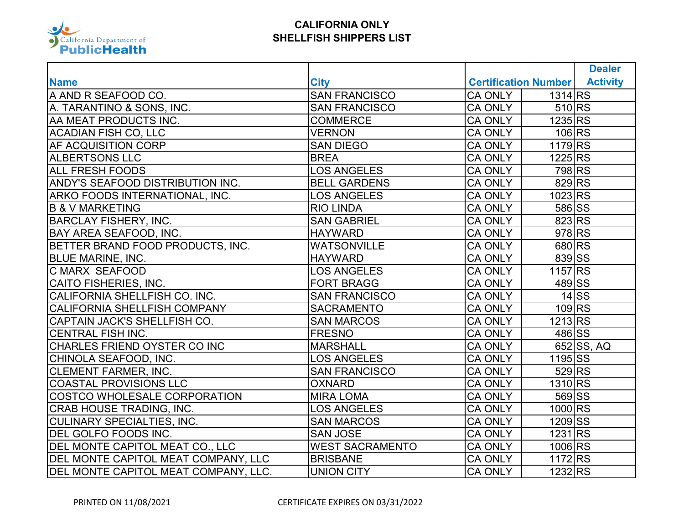

|                                      |                        |                                                    | <b>Dealer</b>   |
|--------------------------------------|------------------------|----------------------------------------------------|-----------------|
| <b>Name</b>                          | <b>City</b>            | <b>Certification Number</b>                        | <b>Activity</b> |
| A AND R SEAFOOD CO.                  | <b>SAN FRANCISCO</b>   | 1314 RS<br><b>CA ONLY</b>                          |                 |
| A. TARANTINO & SONS, INC.            | <b>SAN FRANCISCO</b>   | $510$ <sub>RS</sub><br><b>CA ONLY</b>              |                 |
| AA MEAT PRODUCTS INC.                | <b>COMMERCE</b>        | 1235 RS<br><b>CA ONLY</b>                          |                 |
| <b>ACADIAN FISH CO, LLC</b>          | <b>VERNON</b>          | $106$ <sub>RS</sub><br><b>CA ONLY</b>              |                 |
| AF ACQUISITION CORP                  | <b>SAN DIEGO</b>       | 1179 RS<br><b>CA ONLY</b>                          |                 |
| <b>ALBERTSONS LLC</b>                | <b>BREA</b>            | 1225 RS<br><b>CA ONLY</b>                          |                 |
| <b>ALL FRESH FOODS</b>               | <b>LOS ANGELES</b>     | 798RS<br><b>CA ONLY</b>                            |                 |
| ANDY'S SEAFOOD DISTRIBUTION INC.     | <b>BELL GARDENS</b>    | 829 RS<br><b>CA ONLY</b>                           |                 |
| ARKO FOODS INTERNATIONAL, INC.       | <b>LOS ANGELES</b>     | 1023 RS<br><b>CA ONLY</b>                          |                 |
| <b>B &amp; V MARKETING</b>           | <b>RIO LINDA</b>       | 586 SS<br><b>CA ONLY</b>                           |                 |
| <b>BARCLAY FISHERY, INC.</b>         | <b>SAN GABRIEL</b>     | 823 RS<br><b>CA ONLY</b>                           |                 |
| <b>BAY AREA SEAFOOD, INC.</b>        | <b>HAYWARD</b>         | $978$ <sub>RS</sub><br><b>CA ONLY</b>              |                 |
| BETTER BRAND FOOD PRODUCTS, INC.     | <b>WATSONVILLE</b>     | 680 RS<br><b>CA ONLY</b>                           |                 |
| <b>BLUE MARINE, INC.</b>             | <b>HAYWARD</b>         | 839 SS<br><b>CA ONLY</b>                           |                 |
| C MARX SEAFOOD                       | <b>LOS ANGELES</b>     | 1157 RS<br><b>CA ONLY</b>                          |                 |
| CAITO FISHERIES, INC.                | <b>FORT BRAGG</b>      | $489\overline{\text{S}}\text{S}$<br><b>CA ONLY</b> |                 |
| CALIFORNIA SHELLFISH CO. INC.        | <b>SAN FRANCISCO</b>   | <b>CA ONLY</b>                                     | $14$ SS         |
| <b>CALIFORNIA SHELLFISH COMPANY</b>  | <b>SACRAMENTO</b>      | $109$ <sub>RS</sub><br><b>CA ONLY</b>              |                 |
| CAPTAIN JACK'S SHELLFISH CO.         | <b>SAN MARCOS</b>      | 1213 RS<br><b>CA ONLY</b>                          |                 |
| <b>CENTRAL FISH INC.</b>             | <b>FRESNO</b>          | <b>CA ONLY</b><br>486 SS                           |                 |
| CHARLES FRIEND OYSTER CO INC         | <b>MARSHALL</b>        | <b>CA ONLY</b>                                     | $652$ SS, AQ    |
| CHINOLA SEAFOOD, INC.                | <b>LOS ANGELES</b>     | 1195 SS<br><b>CA ONLY</b>                          |                 |
| <b>CLEMENT FARMER, INC.</b>          | <b>SAN FRANCISCO</b>   | $529$ <sub>RS</sub><br><b>CA ONLY</b>              |                 |
| <b>COASTAL PROVISIONS LLC</b>        | <b>OXNARD</b>          | 1310 RS<br><b>CA ONLY</b>                          |                 |
| COSTCO WHOLESALE CORPORATION         | <b>MIRA LOMA</b>       | 569 SS<br><b>CA ONLY</b>                           |                 |
| <b>CRAB HOUSE TRADING, INC.</b>      | <b>LOS ANGELES</b>     | 1000 RS<br><b>CA ONLY</b>                          |                 |
| <b>CULINARY SPECIALTIES, INC.</b>    | <b>SAN MARCOS</b>      | 1209 SS<br><b>CA ONLY</b>                          |                 |
| DEL GOLFO FOODS INC.                 | <b>SAN JOSE</b>        | <b>CA ONLY</b><br>1231 RS                          |                 |
| DEL MONTE CAPITOL MEAT CO., LLC      | <b>WEST SACRAMENTO</b> | 1006 RS<br><b>CA ONLY</b>                          |                 |
| DEL MONTE CAPITOL MEAT COMPANY, LLC  | <b>BRISBANE</b>        | $1172$ <sub>RS</sub><br><b>CA ONLY</b>             |                 |
| DEL MONTE CAPITOL MEAT COMPANY, LLC. | <b>UNION CITY</b>      | 1232 RS<br><b>CA ONLY</b>                          |                 |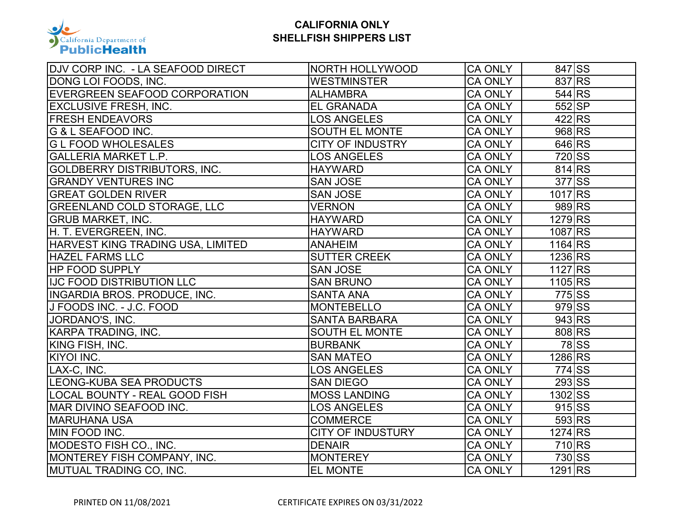

| DJV CORP INC. - LA SEAFOOD DIRECT    | NORTH HOLLYWOOD          | <b>CA ONLY</b> | 847 SS                    |         |
|--------------------------------------|--------------------------|----------------|---------------------------|---------|
| DONG LOI FOODS, INC.                 | <b>WESTMINSTER</b>       | <b>CA ONLY</b> | 837 RS                    |         |
| EVERGREEN SEAFOOD CORPORATION        | <b>ALHAMBRA</b>          | <b>CA ONLY</b> | $544$ <sub>RS</sub>       |         |
| <b>EXCLUSIVE FRESH, INC.</b>         | <b>EL GRANADA</b>        | <b>CA ONLY</b> | $552$ SP                  |         |
| <b>FRESH ENDEAVORS</b>               | <b>LOS ANGELES</b>       | <b>CA ONLY</b> | 422 RS                    |         |
| G & L SEAFOOD INC.                   | SOUTH EL MONTE           | <b>CA ONLY</b> | 968 RS                    |         |
| <b>G L FOOD WHOLESALES</b>           | <b>CITY OF INDUSTRY</b>  | <b>CA ONLY</b> | $646$ <sub>RS</sub>       |         |
| <b>GALLERIA MARKET L.P.</b>          | <b>LOS ANGELES</b>       | <b>CA ONLY</b> | 720 SS                    |         |
| <b>GOLDBERRY DISTRIBUTORS, INC.</b>  | <b>HAYWARD</b>           | <b>CA ONLY</b> | $814$ <sub>RS</sub>       |         |
| <b>GRANDY VENTURES INC</b>           | <b>SAN JOSE</b>          | <b>CA ONLY</b> | $377$ SS                  |         |
| <b>GREAT GOLDEN RIVER</b>            | <b>SAN JOSE</b>          | <b>CA ONLY</b> | 1017 <sub>RS</sub>        |         |
| <b>GREENLAND COLD STORAGE, LLC</b>   | <b>VERNON</b>            | <b>CA ONLY</b> | 989 RS                    |         |
| <b>GRUB MARKET, INC.</b>             | <b>HAYWARD</b>           | <b>CA ONLY</b> | 1279 RS                   |         |
| H. T. EVERGREEN, INC.                | <b>HAYWARD</b>           | <b>CA ONLY</b> | 1087 RS                   |         |
| HARVEST KING TRADING USA, LIMITED    | <b>ANAHEIM</b>           | <b>CA ONLY</b> | 1164 RS                   |         |
| <b>HAZEL FARMS LLC</b>               | <b>SUTTER CREEK</b>      | <b>CA ONLY</b> | 1236 RS                   |         |
| <b>HP FOOD SUPPLY</b>                | <b>SAN JOSE</b>          | <b>CA ONLY</b> | 1127 RS                   |         |
| <b>IJC FOOD DISTRIBUTION LLC</b>     | <b>SAN BRUNO</b>         | <b>CA ONLY</b> | $1105$ <sub>RS</sub>      |         |
| <b>INGARDIA BROS. PRODUCE, INC.</b>  | <b>SANTA ANA</b>         | <b>CA ONLY</b> | $775\overline{\text{SS}}$ |         |
| J FOODS INC. - J.C. FOOD             | <b>MONTEBELLO</b>        | <b>CA ONLY</b> | 979 SS                    |         |
| JORDANO'S, INC.                      | <b>SANTA BARBARA</b>     | <b>CA ONLY</b> | 943 RS                    |         |
| KARPA TRADING, INC.                  | SOUTH EL MONTE           | <b>CA ONLY</b> | 808 RS                    |         |
| KING FISH, INC.                      | <b>BURBANK</b>           | <b>CA ONLY</b> |                           | $78$ SS |
| <b>KIYOI INC.</b>                    | <b>SAN MATEO</b>         | <b>CA ONLY</b> | 1286 RS                   |         |
| LAX-C, INC.                          | <b>LOS ANGELES</b>       | <b>CA ONLY</b> | 774 SS                    |         |
| <b>LEONG-KUBA SEA PRODUCTS</b>       | <b>SAN DIEGO</b>         | <b>CA ONLY</b> | 293 SS                    |         |
| <b>LOCAL BOUNTY - REAL GOOD FISH</b> | <b>MOSS LANDING</b>      | <b>CA ONLY</b> | 1302 SS                   |         |
| MAR DIVINO SEAFOOD INC.              | <b>LOS ANGELES</b>       | <b>CA ONLY</b> | 915 SS                    |         |
| <b>MARUHANA USA</b>                  | <b>COMMERCE</b>          | <b>CA ONLY</b> | 593 RS                    |         |
| MIN FOOD INC.                        | <b>CITY OF INDUSTURY</b> | <b>CA ONLY</b> | 1274 RS                   |         |
| MODESTO FISH CO., INC.               | <b>DENAIR</b>            | <b>CA ONLY</b> | $710$ <sub>RS</sub>       |         |
| MONTEREY FISH COMPANY, INC.          | <b>MONTEREY</b>          | <b>CA ONLY</b> | 730 SS                    |         |
| MUTUAL TRADING CO, INC.              | <b>EL MONTE</b>          | <b>CA ONLY</b> | 1291 <sub>RS</sub>        |         |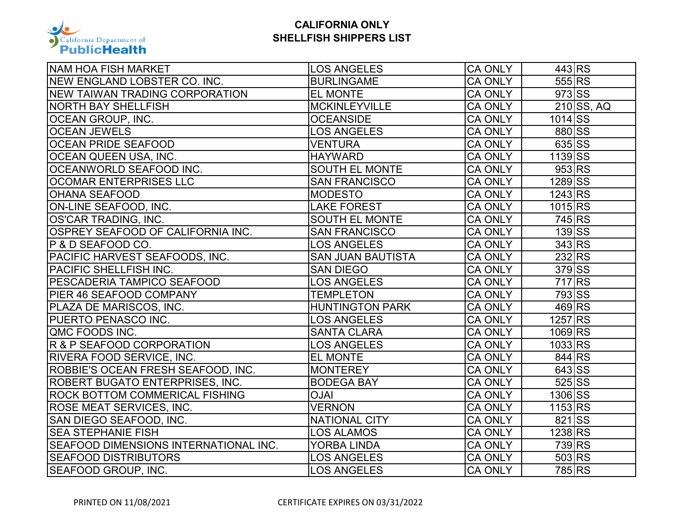

| NAM HOA FISH MARKET                          | <b>LOS ANGELES</b>       | <b>CA ONLY</b> | 443 RS                    |
|----------------------------------------------|--------------------------|----------------|---------------------------|
| NEW ENGLAND LOBSTER CO. INC.                 | <b>BURLINGAME</b>        | <b>CA ONLY</b> | 555 RS                    |
| NEW TAIWAN TRADING CORPORATION               | <b>EL MONTE</b>          | <b>CA ONLY</b> | $973$ SS                  |
| <b>NORTH BAY SHELLFISH</b>                   | <b>MCKINLEYVILLE</b>     | <b>CA ONLY</b> | $210$ SS, AQ              |
| OCEAN GROUP, INC.                            | <b>OCEANSIDE</b>         | <b>CA ONLY</b> | 1014 SS                   |
| <b>OCEAN JEWELS</b>                          | <b>LOS ANGELES</b>       | <b>CA ONLY</b> | 880 SS                    |
| <b>OCEAN PRIDE SEAFOOD</b>                   | <b>VENTURA</b>           | CA ONLY        | 635 SS                    |
| <b>OCEAN QUEEN USA, INC.</b>                 | <b>HAYWARD</b>           | <b>CA ONLY</b> | 1139 SS                   |
| OCEANWORLD SEAFOOD INC.                      | SOUTH EL MONTE           | <b>CA ONLY</b> | $953$ <sub>RS</sub>       |
| <b>OCOMAR ENTERPRISES LLC</b>                | <b>SAN FRANCISCO</b>     | <b>CA ONLY</b> | $1289$ SS                 |
| <b>OHANA SEAFOOD</b>                         | <b>MODESTO</b>           | <b>CA ONLY</b> | $1243$ <sub>RS</sub>      |
| ON-LINE SEAFOOD, INC.                        | <b>LAKE FOREST</b>       | <b>CA ONLY</b> | 1015 RS                   |
| OS'CAR TRADING, INC.                         | <b>SOUTH EL MONTE</b>    | <b>CA ONLY</b> | 745 RS                    |
| OSPREY SEAFOOD OF CALIFORNIA INC.            | <b>SAN FRANCISCO</b>     | <b>CA ONLY</b> | $139$ SS                  |
| P & D SEAFOOD CO.                            | <b>LOS ANGELES</b>       | <b>CA ONLY</b> | $343\overline{\text{RS}}$ |
| PACIFIC HARVEST SEAFOODS, INC.               | <b>SAN JUAN BAUTISTA</b> | <b>CA ONLY</b> | 232 RS                    |
| PACIFIC SHELLFISH INC.                       | <b>SAN DIEGO</b>         | <b>CA ONLY</b> | 379 SS                    |
| PESCADERIA TAMPICO SEAFOOD                   | <b>LOS ANGELES</b>       | <b>CA ONLY</b> | 717 RS                    |
| PIER 46 SEAFOOD COMPANY                      | <b>TEMPLETON</b>         | CA ONLY        | 793 SS                    |
| PLAZA DE MARISCOS, INC.                      | <b>HUNTINGTON PARK</b>   | <b>CA ONLY</b> | 469RS                     |
| PUERTO PENASCO INC.                          | <b>LOS ANGELES</b>       | <b>CA ONLY</b> | 1257 RS                   |
| QMC FOODS INC.                               | <b>SANTA CLARA</b>       | <b>CA ONLY</b> | 1069 RS                   |
| R & P SEAFOOD CORPORATION                    | <b>LOS ANGELES</b>       | <b>CA ONLY</b> | 1033 RS                   |
| RIVERA FOOD SERVICE, INC.                    | <b>EL MONTE</b>          | <b>CA ONLY</b> | 844 RS                    |
| ROBBIE'S OCEAN FRESH SEAFOOD, INC.           | <b>MONTEREY</b>          | <b>CA ONLY</b> | 643 SS                    |
| ROBERT BUGATO ENTERPRISES, INC.              | <b>BODEGA BAY</b>        | <b>CA ONLY</b> | $525$ SS                  |
| <b>ROCK BOTTOM COMMERICAL FISHING</b>        | <b>OJAI</b>              | <b>CA ONLY</b> | $1306$ SS                 |
| <b>ROSE MEAT SERVICES, INC.</b>              | <b>VERNON</b>            | <b>CA ONLY</b> | $1153$ <sub>RS</sub>      |
| SAN DIEGO SEAFOOD, INC.                      | <b>NATIONAL CITY</b>     | <b>CA ONLY</b> | 821 SS                    |
| <b>SEA STEPHANIE FISH</b>                    | <b>LOS ALAMOS</b>        | CA ONLY        | 1238 RS                   |
| <b>SEAFOOD DIMENSIONS INTERNATIONAL INC.</b> | <b>YORBA LINDA</b>       | <b>CA ONLY</b> | 739 RS                    |
| <b>SEAFOOD DISTRIBUTORS</b>                  | <b>LOS ANGELES</b>       | CA ONLY        | 503 RS                    |
| <b>SEAFOOD GROUP, INC.</b>                   | <b>LOS ANGELES</b>       | <b>CA ONLY</b> | 785 RS                    |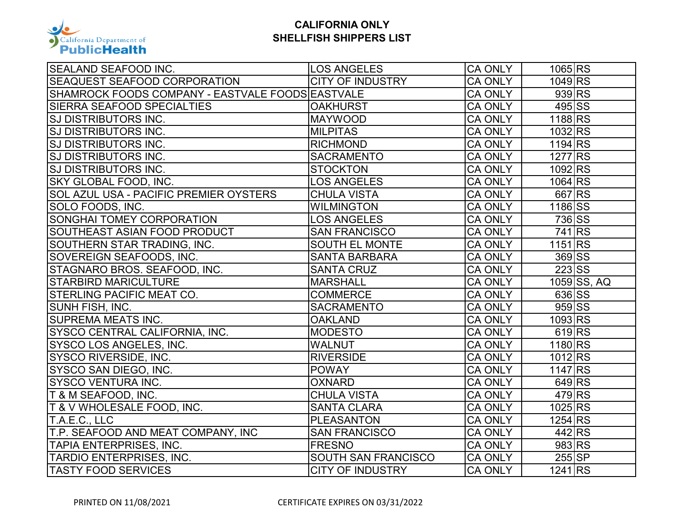

| SEALAND SEAFOOD INC.                             | <b>LOS ANGELES</b>      | <b>CA ONLY</b> | 1065 RS              |               |
|--------------------------------------------------|-------------------------|----------------|----------------------|---------------|
| SEAQUEST SEAFOOD CORPORATION                     | <b>CITY OF INDUSTRY</b> | <b>CA ONLY</b> | 1049 RS              |               |
| SHAMROCK FOODS COMPANY - EASTVALE FOODS EASTVALE |                         | <b>CA ONLY</b> | 939 RS               |               |
| <b>SIERRA SEAFOOD SPECIALTIES</b>                | <b>OAKHURST</b>         | <b>CA ONLY</b> | 495 SS               |               |
| <b>SJ DISTRIBUTORS INC.</b>                      | <b>MAYWOOD</b>          | <b>CA ONLY</b> | 1188 RS              |               |
| <b>SJ DISTRIBUTORS INC.</b>                      | <b>MILPITAS</b>         | <b>CA ONLY</b> | 1032 RS              |               |
| SJ DISTRIBUTORS INC.                             | <b>RICHMOND</b>         | <b>CA ONLY</b> | 1194 RS              |               |
| <b>SJ DISTRIBUTORS INC.</b>                      | <b>SACRAMENTO</b>       | <b>CA ONLY</b> | 1277 RS              |               |
| SJ DISTRIBUTORS INC.                             | <b>STOCKTON</b>         | <b>CA ONLY</b> | 1092 RS              |               |
| SKY GLOBAL FOOD, INC.                            | <b>LOS ANGELES</b>      | <b>CA ONLY</b> | $1064$ <sub>RS</sub> |               |
| <b>SOL AZUL USA - PACIFIC PREMIER OYSTERS</b>    | <b>CHULA VISTA</b>      | <b>CA ONLY</b> | 667RS                |               |
| SOLO FOODS, INC.                                 | <b>WILMINGTON</b>       | <b>CA ONLY</b> | 1186 SS              |               |
| <b>SONGHAI TOMEY CORPORATION</b>                 | <b>LOS ANGELES</b>      | <b>CA ONLY</b> | 736 SS               |               |
| SOUTHEAST ASIAN FOOD PRODUCT                     | <b>SAN FRANCISCO</b>    | <b>CA ONLY</b> | 741 RS               |               |
| SOUTHERN STAR TRADING, INC.                      | <b>SOUTH EL MONTE</b>   | <b>CA ONLY</b> | 1151 RS              |               |
| SOVEREIGN SEAFOODS, INC.                         | <b>SANTA BARBARA</b>    | <b>CA ONLY</b> | 369 SS               |               |
| STAGNARO BROS. SEAFOOD, INC.                     | <b>SANTA CRUZ</b>       | <b>CA ONLY</b> | 223 SS               |               |
| <b>STARBIRD MARICULTURE</b>                      | <b>MARSHALL</b>         | <b>CA ONLY</b> |                      | $1059$ SS, AQ |
| <b>STERLING PACIFIC MEAT CO.</b>                 | <b>COMMERCE</b>         | <b>CA ONLY</b> | 636 SS               |               |
| SUNH FISH, INC.                                  | <b>SACRAMENTO</b>       | <b>CA ONLY</b> | $959$ SS             |               |
| <b>SUPREMA MEATS INC.</b>                        | <b>OAKLAND</b>          | <b>CA ONLY</b> | 1093 RS              |               |
| SYSCO CENTRAL CALIFORNIA, INC.                   | <b>MODESTO</b>          | <b>CA ONLY</b> | 619RS                |               |
| SYSCO LOS ANGELES, INC.                          | <b>WALNUT</b>           | <b>CA ONLY</b> | 1180 RS              |               |
| <b>SYSCO RIVERSIDE, INC.</b>                     | <b>RIVERSIDE</b>        | <b>CA ONLY</b> | $1012$ <sub>RS</sub> |               |
| SYSCO SAN DIEGO, INC.                            | <b>POWAY</b>            | <b>CA ONLY</b> | 1147 RS              |               |
| SYSCO VENTURA INC.                               | <b>OXNARD</b>           | <b>CA ONLY</b> | 649RS                |               |
| T&M SEAFOOD, INC.                                | <b>CHULA VISTA</b>      | <b>CA ONLY</b> | 479RS                |               |
| <b>T &amp; V WHOLESALE FOOD, INC.</b>            | <b>SANTA CLARA</b>      | <b>CA ONLY</b> | 1025 RS              |               |
| T.A.E.C., LLC                                    | <b>PLEASANTON</b>       | <b>CA ONLY</b> | 1254 RS              |               |
| T.P. SEAFOOD AND MEAT COMPANY, INC               | <b>SAN FRANCISCO</b>    | <b>CA ONLY</b> | 442 RS               |               |
| TAPIA ENTERPRISES, INC.                          | <b>FRESNO</b>           | <b>CA ONLY</b> | $983$ <sub>RS</sub>  |               |
| TARDIO ENTERPRISES, INC.                         | SOUTH SAN FRANCISCO     | <b>CA ONLY</b> | $255$ SP             |               |
| <b>TASTY FOOD SERVICES</b>                       | <b>CITY OF INDUSTRY</b> | <b>CA ONLY</b> | 1241 RS              |               |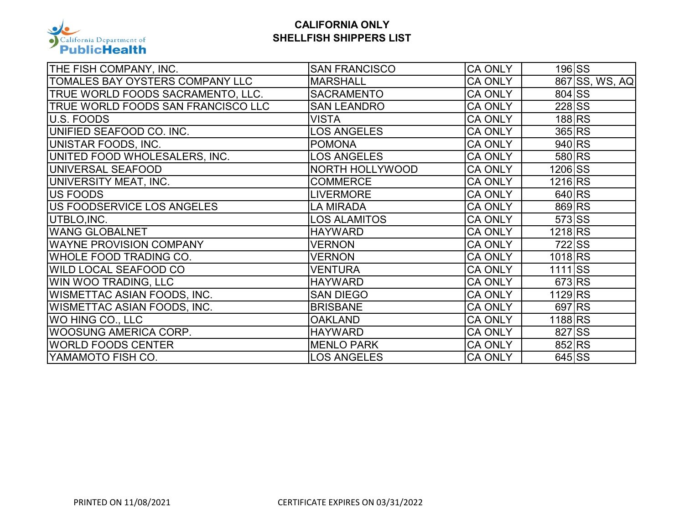

| THE FISH COMPANY, INC.             | <b>SAN FRANCISCO</b>   | <b>CA ONLY</b> |                     | $196$ $S\overline{S}$ |                |
|------------------------------------|------------------------|----------------|---------------------|-----------------------|----------------|
| TOMALES BAY OYSTERS COMPANY LLC    | <b>MARSHALL</b>        | <b>CA ONLY</b> |                     |                       | 867 SS, WS, AQ |
| TRUE WORLD FOODS SACRAMENTO, LLC.  | <b>SACRAMENTO</b>      | <b>CA ONLY</b> | 804 SS              |                       |                |
| TRUE WORLD FOODS SAN FRANCISCO LLC | <b>SAN LEANDRO</b>     | <b>CA ONLY</b> | 228 SS              |                       |                |
| U.S. FOODS                         | VISTA                  | <b>CA ONLY</b> |                     | 188RS                 |                |
| UNIFIED SEAFOOD CO. INC.           | <b>LOS ANGELES</b>     | <b>CA ONLY</b> | 365 RS              |                       |                |
| UNISTAR FOODS, INC.                | <b>POMONA</b>          | <b>CA ONLY</b> | 940 RS              |                       |                |
| UNITED FOOD WHOLESALERS, INC.      | <b>LOS ANGELES</b>     | <b>CA ONLY</b> | 580 RS              |                       |                |
| UNIVERSAL SEAFOOD                  | <b>NORTH HOLLYWOOD</b> | <b>CA ONLY</b> | 1206 SS             |                       |                |
| UNIVERSITY MEAT, INC.              | <b>COMMERCE</b>        | <b>CA ONLY</b> | 1216 RS             |                       |                |
| US FOODS                           | LIVERMORE              | <b>CA ONLY</b> | $640$ <sub>RS</sub> |                       |                |
| US FOODSERVICE LOS ANGELES         | LA MIRADA              | <b>CA ONLY</b> | 869 RS              |                       |                |
| UTBLO, INC.                        | <b>LOS ALAMITOS</b>    | <b>CA ONLY</b> | 573 SS              |                       |                |
| <b>WANG GLOBALNET</b>              | <b>HAYWARD</b>         | <b>CA ONLY</b> | 1218 RS             |                       |                |
| <b>WAYNE PROVISION COMPANY</b>     | <b>VERNON</b>          | <b>CA ONLY</b> | 722 SS              |                       |                |
| WHOLE FOOD TRADING CO.             | <b>VERNON</b>          | <b>CA ONLY</b> | 1018 <sub>RS</sub>  |                       |                |
| WILD LOCAL SEAFOOD CO              | VENTURA                | <b>CA ONLY</b> | $1111$ SS           |                       |                |
| WIN WOO TRADING, LLC               | <b>HAYWARD</b>         | <b>CA ONLY</b> | 673 RS              |                       |                |
| WISMETTAC ASIAN FOODS, INC.        | <b>SAN DIEGO</b>       | <b>CA ONLY</b> | 1129 RS             |                       |                |
| WISMETTAC ASIAN FOODS, INC.        | <b>BRISBANE</b>        | <b>CA ONLY</b> | 697 RS              |                       |                |
| WO HING CO., LLC                   | <b>OAKLAND</b>         | <b>CA ONLY</b> | 1188RS              |                       |                |
| WOOSUNG AMERICA CORP.              | <b>HAYWARD</b>         | <b>CA ONLY</b> | 827 SS              |                       |                |
| <b>WORLD FOODS CENTER</b>          | <b>MENLO PARK</b>      | <b>CA ONLY</b> | 852 RS              |                       |                |
| YAMAMOTO FISH CO.                  | <b>LOS ANGELES</b>     | <b>CA ONLY</b> | $645$ SS            |                       |                |